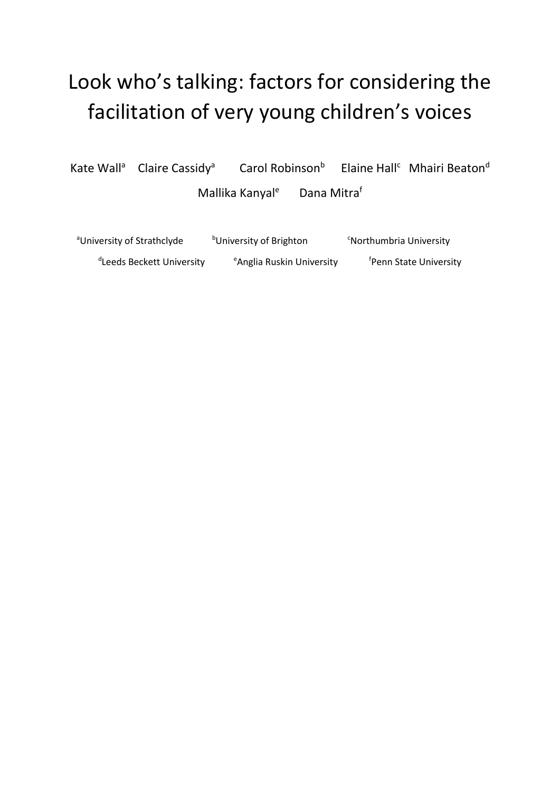# Look who's talking: factors for considering the facilitation of very young children's voices

Kate Wall<sup>a</sup> Claire Cassidy<sup>a</sup> Carol Robinson<sup>b</sup> Elaine Hall<sup>c</sup> Mhairi Beaton<sup>d</sup> Mallika Kanyal<sup>e</sup> Dana Mitraf

<sup>a</sup>University of Strathclyde bUniversity of Brighton <sup>c</sup>Northumbria University <sup>d</sup>Leeds Beckett University <sup>e</sup>Anglia Ruskin University <sup>f</sup>Penn State University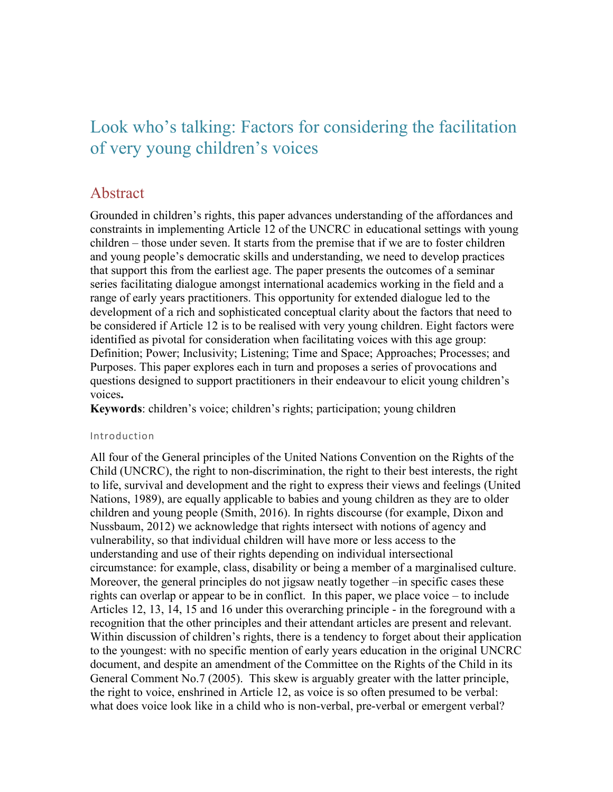## Look who's talking: Factors for considering the facilitation of very young children's voices

### Abstract

Grounded in children's rights, this paper advances understanding of the affordances and constraints in implementing Article 12 of the UNCRC in educational settings with young children – those under seven. It starts from the premise that if we are to foster children and young people's democratic skills and understanding, we need to develop practices that support this from the earliest age. The paper presents the outcomes of a seminar series facilitating dialogue amongst international academics working in the field and a range of early years practitioners. This opportunity for extended dialogue led to the development of a rich and sophisticated conceptual clarity about the factors that need to be considered if Article 12 is to be realised with very young children. Eight factors were identified as pivotal for consideration when facilitating voices with this age group: Definition; Power; Inclusivity; Listening; Time and Space; Approaches; Processes; and Purposes. This paper explores each in turn and proposes a series of provocations and questions designed to support practitioners in their endeavour to elicit young children's voices**.** 

**Keywords**: children's voice; children's rights; participation; young children

#### Introduction

All four of the General principles of the United Nations Convention on the Rights of the Child (UNCRC), the right to non-discrimination, the right to their best interests, the right to life, survival and development and the right to express their views and feelings (United Nations, 1989), are equally applicable to babies and young children as they are to older children and young people (Smith, 2016). In rights discourse (for example, Dixon and Nussbaum, 2012) we acknowledge that rights intersect with notions of agency and vulnerability, so that individual children will have more or less access to the understanding and use of their rights depending on individual intersectional circumstance: for example, class, disability or being a member of a marginalised culture. Moreover, the general principles do not jigsaw neatly together –in specific cases these rights can overlap or appear to be in conflict. In this paper, we place voice – to include Articles 12, 13, 14, 15 and 16 under this overarching principle - in the foreground with a recognition that the other principles and their attendant articles are present and relevant. Within discussion of children's rights, there is a tendency to forget about their application to the youngest: with no specific mention of early years education in the original UNCRC document, and despite an amendment of the Committee on the Rights of the Child in its General Comment No.7 (2005). This skew is arguably greater with the latter principle, the right to voice, enshrined in Article 12, as voice is so often presumed to be verbal: what does voice look like in a child who is non-verbal, pre-verbal or emergent verbal?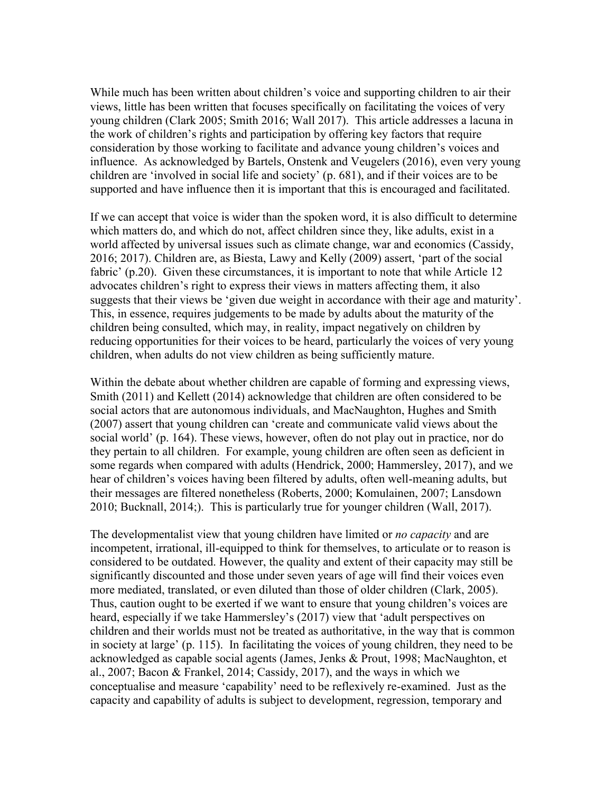While much has been written about children's voice and supporting children to air their views, little has been written that focuses specifically on facilitating the voices of very young children (Clark 2005; Smith 2016; Wall 2017). This article addresses a lacuna in the work of children's rights and participation by offering key factors that require consideration by those working to facilitate and advance young children's voices and influence. As acknowledged by Bartels, Onstenk and Veugelers (2016), even very young children are 'involved in social life and society' (p. 681), and if their voices are to be supported and have influence then it is important that this is encouraged and facilitated.

If we can accept that voice is wider than the spoken word, it is also difficult to determine which matters do, and which do not, affect children since they, like adults, exist in a world affected by universal issues such as climate change, war and economics (Cassidy, 2016; 2017). Children are, as Biesta, Lawy and Kelly (2009) assert, 'part of the social fabric' (p.20). Given these circumstances, it is important to note that while Article 12 advocates children's right to express their views in matters affecting them, it also suggests that their views be 'given due weight in accordance with their age and maturity'. This, in essence, requires judgements to be made by adults about the maturity of the children being consulted, which may, in reality, impact negatively on children by reducing opportunities for their voices to be heard, particularly the voices of very young children, when adults do not view children as being sufficiently mature.

Within the debate about whether children are capable of forming and expressing views, Smith (2011) and Kellett (2014) acknowledge that children are often considered to be social actors that are autonomous individuals, and MacNaughton, Hughes and Smith (2007) assert that young children can 'create and communicate valid views about the social world' (p. 164). These views, however, often do not play out in practice, nor do they pertain to all children. For example, young children are often seen as deficient in some regards when compared with adults (Hendrick, 2000; Hammersley, 2017), and we hear of children's voices having been filtered by adults, often well-meaning adults, but their messages are filtered nonetheless (Roberts, 2000; Komulainen, 2007; Lansdown 2010; Bucknall, 2014;). This is particularly true for younger children (Wall, 2017).

The developmentalist view that young children have limited or *no capacity* and are incompetent, irrational, ill-equipped to think for themselves, to articulate or to reason is considered to be outdated. However, the quality and extent of their capacity may still be significantly discounted and those under seven years of age will find their voices even more mediated, translated, or even diluted than those of older children (Clark, 2005). Thus, caution ought to be exerted if we want to ensure that young children's voices are heard, especially if we take Hammersley's (2017) view that 'adult perspectives on children and their worlds must not be treated as authoritative, in the way that is common in society at large' (p. 115). In facilitating the voices of young children, they need to be acknowledged as capable social agents (James, Jenks & Prout, 1998; MacNaughton, et al., 2007; Bacon & Frankel, 2014; Cassidy, 2017), and the ways in which we conceptualise and measure 'capability' need to be reflexively re-examined. Just as the capacity and capability of adults is subject to development, regression, temporary and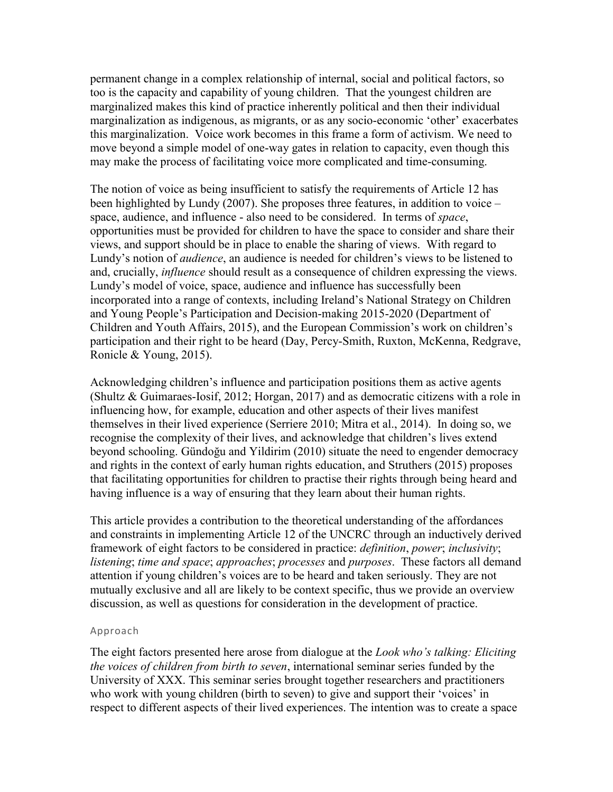permanent change in a complex relationship of internal, social and political factors, so too is the capacity and capability of young children. That the youngest children are marginalized makes this kind of practice inherently political and then their individual marginalization as indigenous, as migrants, or as any socio-economic 'other' exacerbates this marginalization. Voice work becomes in this frame a form of activism. We need to move beyond a simple model of one-way gates in relation to capacity, even though this may make the process of facilitating voice more complicated and time-consuming.

The notion of voice as being insufficient to satisfy the requirements of Article 12 has been highlighted by Lundy (2007). She proposes three features, in addition to voice – space, audience, and influence - also need to be considered. In terms of *space*, opportunities must be provided for children to have the space to consider and share their views, and support should be in place to enable the sharing of views. With regard to Lundy's notion of *audience*, an audience is needed for children's views to be listened to and, crucially, *influence* should result as a consequence of children expressing the views. Lundy's model of voice, space, audience and influence has successfully been incorporated into a range of contexts, including Ireland's National Strategy on Children and Young People's Participation and Decision-making 2015-2020 (Department of Children and Youth Affairs, 2015), and the European Commission's work on children's participation and their right to be heard (Day, Percy-Smith, Ruxton, McKenna, Redgrave, Ronicle & Young, 2015).

Acknowledging children's influence and participation positions them as active agents (Shultz & Guimaraes-Iosif, 2012; Horgan, 2017) and as democratic citizens with a role in influencing how, for example, education and other aspects of their lives manifest themselves in their lived experience (Serriere 2010; Mitra et al., 2014). In doing so, we recognise the complexity of their lives, and acknowledge that children's lives extend beyond schooling. Gündoğu and Yildirim (2010) situate the need to engender democracy and rights in the context of early human rights education, and Struthers (2015) proposes that facilitating opportunities for children to practise their rights through being heard and having influence is a way of ensuring that they learn about their human rights.

This article provides a contribution to the theoretical understanding of the affordances and constraints in implementing Article 12 of the UNCRC through an inductively derived framework of eight factors to be considered in practice: *definition*, *power*; *inclusivity*; *listening*; *time and space*; *approaches*; *processes* and *purposes*. These factors all demand attention if young children's voices are to be heard and taken seriously. They are not mutually exclusive and all are likely to be context specific, thus we provide an overview discussion, as well as questions for consideration in the development of practice.

#### Approach

The eight factors presented here arose from dialogue at the *Look who's talking: Eliciting the voices of children from birth to seven*, international seminar series funded by the University of XXX. This seminar series brought together researchers and practitioners who work with young children (birth to seven) to give and support their 'voices' in respect to different aspects of their lived experiences. The intention was to create a space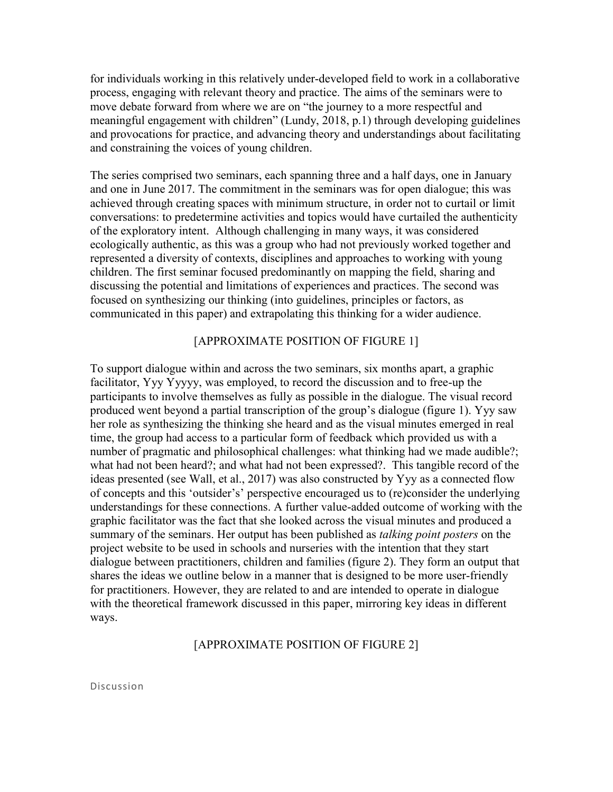for individuals working in this relatively under-developed field to work in a collaborative process, engaging with relevant theory and practice. The aims of the seminars were to move debate forward from where we are on "the journey to a more respectful and meaningful engagement with children" (Lundy, 2018, p.1) through developing guidelines and provocations for practice, and advancing theory and understandings about facilitating and constraining the voices of young children.

The series comprised two seminars, each spanning three and a half days, one in January and one in June 2017. The commitment in the seminars was for open dialogue; this was achieved through creating spaces with minimum structure, in order not to curtail or limit conversations: to predetermine activities and topics would have curtailed the authenticity of the exploratory intent. Although challenging in many ways, it was considered ecologically authentic, as this was a group who had not previously worked together and represented a diversity of contexts, disciplines and approaches to working with young children. The first seminar focused predominantly on mapping the field, sharing and discussing the potential and limitations of experiences and practices. The second was focused on synthesizing our thinking (into guidelines, principles or factors, as communicated in this paper) and extrapolating this thinking for a wider audience.

#### [APPROXIMATE POSITION OF FIGURE 1]

To support dialogue within and across the two seminars, six months apart, a graphic facilitator, Yyy Yyyyy, was employed, to record the discussion and to free-up the participants to involve themselves as fully as possible in the dialogue. The visual record produced went beyond a partial transcription of the group's dialogue (figure 1). Yyy saw her role as synthesizing the thinking she heard and as the visual minutes emerged in real time, the group had access to a particular form of feedback which provided us with a number of pragmatic and philosophical challenges: what thinking had we made audible?; what had not been heard?; and what had not been expressed?. This tangible record of the ideas presented (see Wall, et al., 2017) was also constructed by Yyy as a connected flow of concepts and this 'outsider's' perspective encouraged us to (re)consider the underlying understandings for these connections. A further value-added outcome of working with the graphic facilitator was the fact that she looked across the visual minutes and produced a summary of the seminars. Her output has been published as *talking point posters* on the project website to be used in schools and nurseries with the intention that they start dialogue between practitioners, children and families (figure 2). They form an output that shares the ideas we outline below in a manner that is designed to be more user-friendly for practitioners. However, they are related to and are intended to operate in dialogue with the theoretical framework discussed in this paper, mirroring key ideas in different ways.

#### [APPROXIMATE POSITION OF FIGURE 2]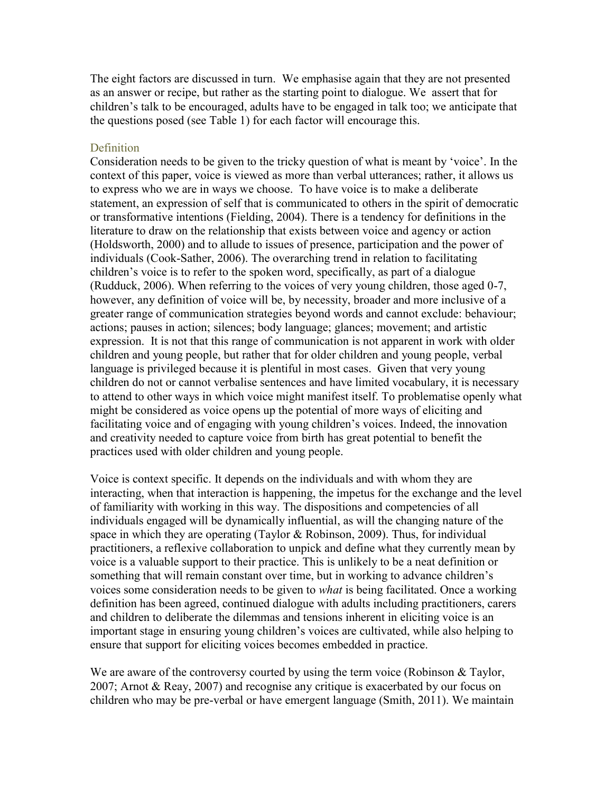The eight factors are discussed in turn. We emphasise again that they are not presented as an answer or recipe, but rather as the starting point to dialogue. We assert that for children's talk to be encouraged, adults have to be engaged in talk too; we anticipate that the questions posed (see Table 1) for each factor will encourage this.

#### **Definition**

Consideration needs to be given to the tricky question of what is meant by 'voice'. In the context of this paper, voice is viewed as more than verbal utterances; rather, it allows us to express who we are in ways we choose. To have voice is to make a deliberate statement, an expression of self that is communicated to others in the spirit of democratic or transformative intentions (Fielding, 2004). There is a tendency for definitions in the literature to draw on the relationship that exists between voice and agency or action (Holdsworth, 2000) and to allude to issues of presence, participation and the power of individuals (Cook-Sather, 2006). The overarching trend in relation to facilitating children's voice is to refer to the spoken word, specifically, as part of a dialogue (Rudduck, 2006). When referring to the voices of very young children, those aged 0-7, however, any definition of voice will be, by necessity, broader and more inclusive of a greater range of communication strategies beyond words and cannot exclude: behaviour; actions; pauses in action; silences; body language; glances; movement; and artistic expression. It is not that this range of communication is not apparent in work with older children and young people, but rather that for older children and young people, verbal language is privileged because it is plentiful in most cases. Given that very young children do not or cannot verbalise sentences and have limited vocabulary, it is necessary to attend to other ways in which voice might manifest itself. To problematise openly what might be considered as voice opens up the potential of more ways of eliciting and facilitating voice and of engaging with young children's voices. Indeed, the innovation and creativity needed to capture voice from birth has great potential to benefit the practices used with older children and young people.

Voice is context specific. It depends on the individuals and with whom they are interacting, when that interaction is happening, the impetus for the exchange and the level of familiarity with working in this way. The dispositions and competencies of all individuals engaged will be dynamically influential, as will the changing nature of the space in which they are operating (Taylor & Robinson, 2009). Thus, for individual practitioners, a reflexive collaboration to unpick and define what they currently mean by voice is a valuable support to their practice. This is unlikely to be a neat definition or something that will remain constant over time, but in working to advance children's voices some consideration needs to be given to *what* is being facilitated. Once a working definition has been agreed, continued dialogue with adults including practitioners, carers and children to deliberate the dilemmas and tensions inherent in eliciting voice is an important stage in ensuring young children's voices are cultivated, while also helping to ensure that support for eliciting voices becomes embedded in practice.

We are aware of the controversy courted by using the term voice (Robinson  $\&$  Taylor, 2007; Arnot & Reay, 2007) and recognise any critique is exacerbated by our focus on children who may be pre-verbal or have emergent language (Smith, 2011). We maintain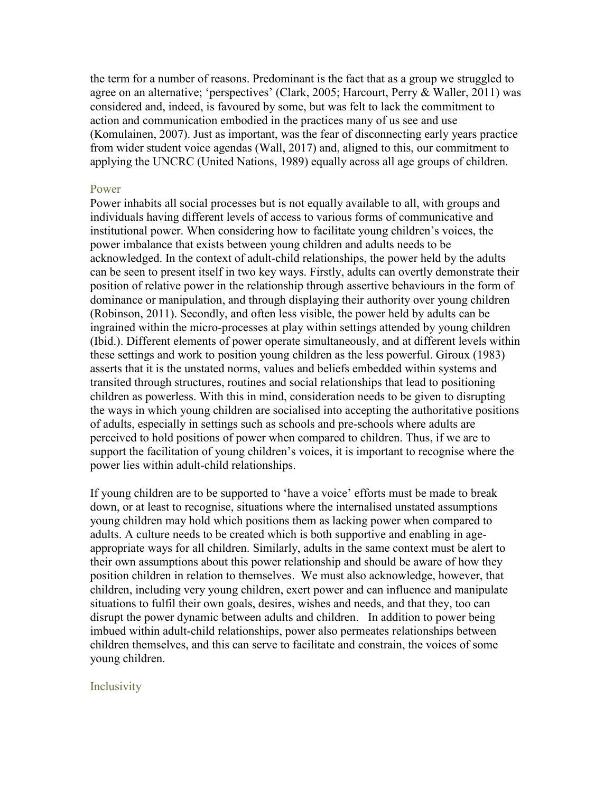the term for a number of reasons. Predominant is the fact that as a group we struggled to agree on an alternative; 'perspectives' (Clark, 2005; Harcourt, Perry & Waller, 2011) was considered and, indeed, is favoured by some, but was felt to lack the commitment to action and communication embodied in the practices many of us see and use (Komulainen, 2007). Just as important, was the fear of disconnecting early years practice from wider student voice agendas (Wall, 2017) and, aligned to this, our commitment to applying the UNCRC (United Nations, 1989) equally across all age groups of children.

#### Power

Power inhabits all social processes but is not equally available to all, with groups and individuals having different levels of access to various forms of communicative and institutional power. When considering how to facilitate young children's voices, the power imbalance that exists between young children and adults needs to be acknowledged. In the context of adult-child relationships, the power held by the adults can be seen to present itself in two key ways. Firstly, adults can overtly demonstrate their position of relative power in the relationship through assertive behaviours in the form of dominance or manipulation, and through displaying their authority over young children (Robinson, 2011). Secondly, and often less visible, the power held by adults can be ingrained within the micro-processes at play within settings attended by young children (Ibid.). Different elements of power operate simultaneously, and at different levels within these settings and work to position young children as the less powerful. Giroux (1983) asserts that it is the unstated norms, values and beliefs embedded within systems and transited through structures, routines and social relationships that lead to positioning children as powerless. With this in mind, consideration needs to be given to disrupting the ways in which young children are socialised into accepting the authoritative positions of adults, especially in settings such as schools and pre-schools where adults are perceived to hold positions of power when compared to children. Thus, if we are to support the facilitation of young children's voices, it is important to recognise where the power lies within adult-child relationships.

If young children are to be supported to 'have a voice' efforts must be made to break down, or at least to recognise, situations where the internalised unstated assumptions young children may hold which positions them as lacking power when compared to adults. A culture needs to be created which is both supportive and enabling in ageappropriate ways for all children. Similarly, adults in the same context must be alert to their own assumptions about this power relationship and should be aware of how they position children in relation to themselves. We must also acknowledge, however, that children, including very young children, exert power and can influence and manipulate situations to fulfil their own goals, desires, wishes and needs, and that they, too can disrupt the power dynamic between adults and children. In addition to power being imbued within adult-child relationships, power also permeates relationships between children themselves, and this can serve to facilitate and constrain, the voices of some young children.

#### Inclusivity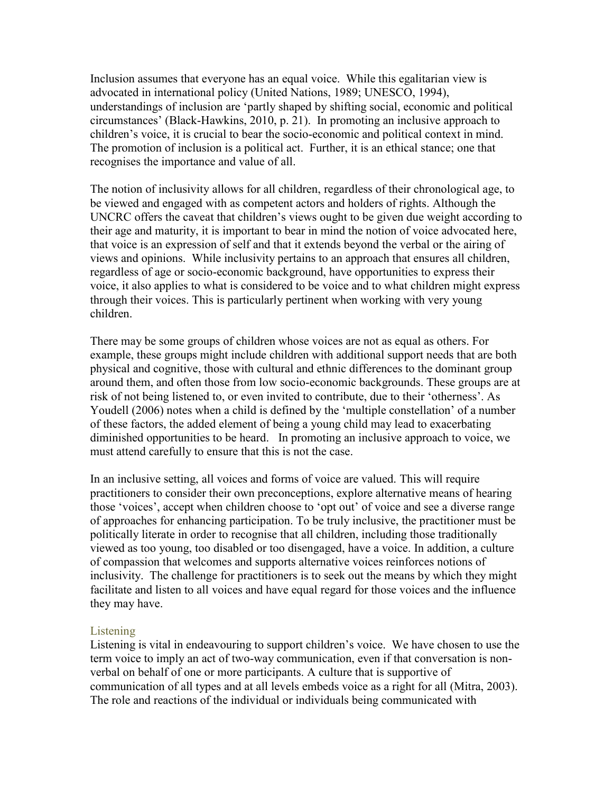Inclusion assumes that everyone has an equal voice. While this egalitarian view is advocated in international policy (United Nations, 1989; UNESCO, 1994), understandings of inclusion are 'partly shaped by shifting social, economic and political circumstances' (Black-Hawkins, 2010, p. 21). In promoting an inclusive approach to children's voice, it is crucial to bear the socio-economic and political context in mind. The promotion of inclusion is a political act. Further, it is an ethical stance; one that recognises the importance and value of all.

The notion of inclusivity allows for all children, regardless of their chronological age, to be viewed and engaged with as competent actors and holders of rights. Although the UNCRC offers the caveat that children's views ought to be given due weight according to their age and maturity, it is important to bear in mind the notion of voice advocated here, that voice is an expression of self and that it extends beyond the verbal or the airing of views and opinions. While inclusivity pertains to an approach that ensures all children, regardless of age or socio-economic background, have opportunities to express their voice, it also applies to what is considered to be voice and to what children might express through their voices. This is particularly pertinent when working with very young children.

There may be some groups of children whose voices are not as equal as others. For example, these groups might include children with additional support needs that are both physical and cognitive, those with cultural and ethnic differences to the dominant group around them, and often those from low socio-economic backgrounds. These groups are at risk of not being listened to, or even invited to contribute, due to their 'otherness'. As Youdell (2006) notes when a child is defined by the 'multiple constellation' of a number of these factors, the added element of being a young child may lead to exacerbating diminished opportunities to be heard. In promoting an inclusive approach to voice, we must attend carefully to ensure that this is not the case.

In an inclusive setting, all voices and forms of voice are valued. This will require practitioners to consider their own preconceptions, explore alternative means of hearing those 'voices', accept when children choose to 'opt out' of voice and see a diverse range of approaches for enhancing participation. To be truly inclusive, the practitioner must be politically literate in order to recognise that all children, including those traditionally viewed as too young, too disabled or too disengaged, have a voice. In addition, a culture of compassion that welcomes and supports alternative voices reinforces notions of inclusivity. The challenge for practitioners is to seek out the means by which they might facilitate and listen to all voices and have equal regard for those voices and the influence they may have.

#### **Listening**

Listening is vital in endeavouring to support children's voice. We have chosen to use the term voice to imply an act of two-way communication, even if that conversation is nonverbal on behalf of one or more participants. A culture that is supportive of communication of all types and at all levels embeds voice as a right for all (Mitra, 2003). The role and reactions of the individual or individuals being communicated with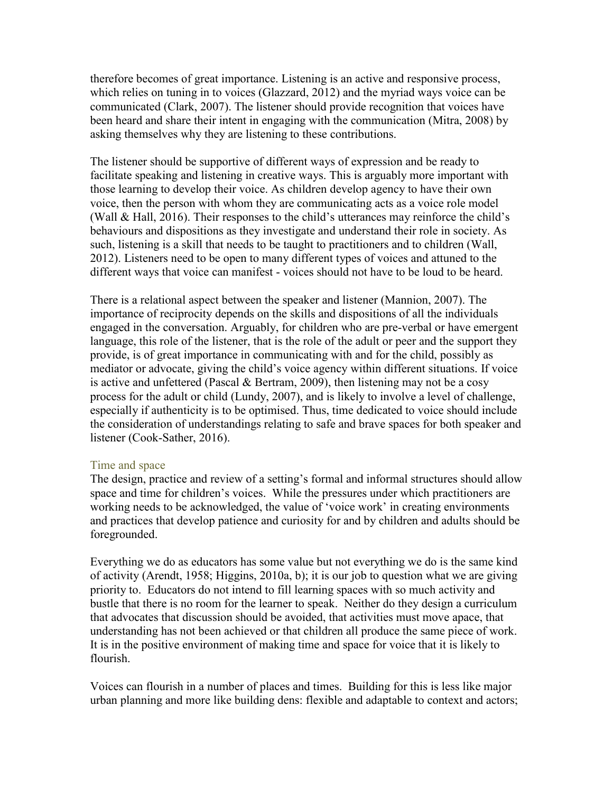therefore becomes of great importance. Listening is an active and responsive process, which relies on tuning in to voices (Glazzard, 2012) and the myriad ways voice can be communicated (Clark, 2007). The listener should provide recognition that voices have been heard and share their intent in engaging with the communication (Mitra, 2008) by asking themselves why they are listening to these contributions.

The listener should be supportive of different ways of expression and be ready to facilitate speaking and listening in creative ways. This is arguably more important with those learning to develop their voice. As children develop agency to have their own voice, then the person with whom they are communicating acts as a voice role model (Wall & Hall, 2016). Their responses to the child's utterances may reinforce the child's behaviours and dispositions as they investigate and understand their role in society. As such, listening is a skill that needs to be taught to practitioners and to children (Wall, 2012). Listeners need to be open to many different types of voices and attuned to the different ways that voice can manifest - voices should not have to be loud to be heard.

There is a relational aspect between the speaker and listener (Mannion, 2007). The importance of reciprocity depends on the skills and dispositions of all the individuals engaged in the conversation. Arguably, for children who are pre-verbal or have emergent language, this role of the listener, that is the role of the adult or peer and the support they provide, is of great importance in communicating with and for the child, possibly as mediator or advocate, giving the child's voice agency within different situations. If voice is active and unfettered (Pascal  $&$  Bertram, 2009), then listening may not be a cosy process for the adult or child (Lundy, 2007), and is likely to involve a level of challenge, especially if authenticity is to be optimised. Thus, time dedicated to voice should include the consideration of understandings relating to safe and brave spaces for both speaker and listener (Cook-Sather, 2016).

#### Time and space

The design, practice and review of a setting's formal and informal structures should allow space and time for children's voices. While the pressures under which practitioners are working needs to be acknowledged, the value of 'voice work' in creating environments and practices that develop patience and curiosity for and by children and adults should be foregrounded.

Everything we do as educators has some value but not everything we do is the same kind of activity (Arendt, 1958; Higgins, 2010a, b); it is our job to question what we are giving priority to. Educators do not intend to fill learning spaces with so much activity and bustle that there is no room for the learner to speak. Neither do they design a curriculum that advocates that discussion should be avoided, that activities must move apace, that understanding has not been achieved or that children all produce the same piece of work. It is in the positive environment of making time and space for voice that it is likely to flourish.

Voices can flourish in a number of places and times. Building for this is less like major urban planning and more like building dens: flexible and adaptable to context and actors;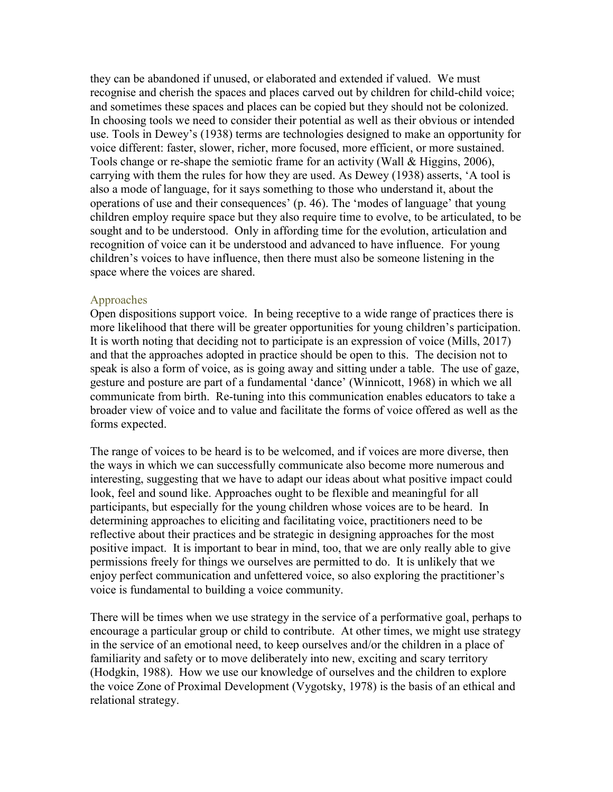they can be abandoned if unused, or elaborated and extended if valued. We must recognise and cherish the spaces and places carved out by children for child-child voice; and sometimes these spaces and places can be copied but they should not be colonized. In choosing tools we need to consider their potential as well as their obvious or intended use. Tools in Dewey's (1938) terms are technologies designed to make an opportunity for voice different: faster, slower, richer, more focused, more efficient, or more sustained. Tools change or re-shape the semiotic frame for an activity (Wall & Higgins, 2006), carrying with them the rules for how they are used. As Dewey (1938) asserts, 'A tool is also a mode of language, for it says something to those who understand it, about the operations of use and their consequences' (p. 46). The 'modes of language' that young children employ require space but they also require time to evolve, to be articulated, to be sought and to be understood. Only in affording time for the evolution, articulation and recognition of voice can it be understood and advanced to have influence. For young children's voices to have influence, then there must also be someone listening in the space where the voices are shared.

#### Approaches

Open dispositions support voice. In being receptive to a wide range of practices there is more likelihood that there will be greater opportunities for young children's participation. It is worth noting that deciding not to participate is an expression of voice (Mills, 2017) and that the approaches adopted in practice should be open to this. The decision not to speak is also a form of voice, as is going away and sitting under a table. The use of gaze, gesture and posture are part of a fundamental 'dance' (Winnicott, 1968) in which we all communicate from birth. Re-tuning into this communication enables educators to take a broader view of voice and to value and facilitate the forms of voice offered as well as the forms expected.

The range of voices to be heard is to be welcomed, and if voices are more diverse, then the ways in which we can successfully communicate also become more numerous and interesting, suggesting that we have to adapt our ideas about what positive impact could look, feel and sound like. Approaches ought to be flexible and meaningful for all participants, but especially for the young children whose voices are to be heard. In determining approaches to eliciting and facilitating voice, practitioners need to be reflective about their practices and be strategic in designing approaches for the most positive impact. It is important to bear in mind, too, that we are only really able to give permissions freely for things we ourselves are permitted to do. It is unlikely that we enjoy perfect communication and unfettered voice, so also exploring the practitioner's voice is fundamental to building a voice community.

There will be times when we use strategy in the service of a performative goal, perhaps to encourage a particular group or child to contribute. At other times, we might use strategy in the service of an emotional need, to keep ourselves and/or the children in a place of familiarity and safety or to move deliberately into new, exciting and scary territory (Hodgkin, 1988). How we use our knowledge of ourselves and the children to explore the voice Zone of Proximal Development (Vygotsky, 1978) is the basis of an ethical and relational strategy.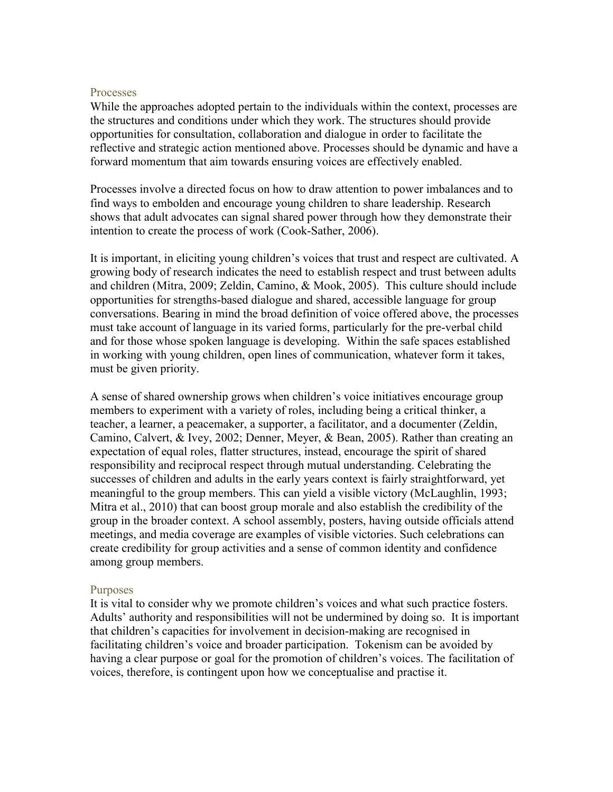#### **Processes**

While the approaches adopted pertain to the individuals within the context, processes are the structures and conditions under which they work. The structures should provide opportunities for consultation, collaboration and dialogue in order to facilitate the reflective and strategic action mentioned above. Processes should be dynamic and have a forward momentum that aim towards ensuring voices are effectively enabled.

Processes involve a directed focus on how to draw attention to power imbalances and to find ways to embolden and encourage young children to share leadership. Research shows that adult advocates can signal shared power through how they demonstrate their intention to create the process of work (Cook-Sather, 2006).

It is important, in eliciting young children's voices that trust and respect are cultivated. A growing body of research indicates the need to establish respect and trust between adults and children (Mitra, 2009; Zeldin, Camino, & Mook, 2005). This culture should include opportunities for strengths-based dialogue and shared, accessible language for group conversations. Bearing in mind the broad definition of voice offered above, the processes must take account of language in its varied forms, particularly for the pre-verbal child and for those whose spoken language is developing. Within the safe spaces established in working with young children, open lines of communication, whatever form it takes, must be given priority.

A sense of shared ownership grows when children's voice initiatives encourage group members to experiment with a variety of roles, including being a critical thinker, a teacher, a learner, a peacemaker, a supporter, a facilitator, and a documenter (Zeldin, Camino, Calvert, & Ivey, 2002; Denner, Meyer, & Bean, 2005). Rather than creating an expectation of equal roles, flatter structures, instead, encourage the spirit of shared responsibility and reciprocal respect through mutual understanding. Celebrating the successes of children and adults in the early years context is fairly straightforward, yet meaningful to the group members. This can yield a visible victory (McLaughlin, 1993; Mitra et al., 2010) that can boost group morale and also establish the credibility of the group in the broader context. A school assembly, posters, having outside officials attend meetings, and media coverage are examples of visible victories. Such celebrations can create credibility for group activities and a sense of common identity and confidence among group members.

#### Purposes

It is vital to consider why we promote children's voices and what such practice fosters. Adults' authority and responsibilities will not be undermined by doing so. It is important that children's capacities for involvement in decision-making are recognised in facilitating children's voice and broader participation. Tokenism can be avoided by having a clear purpose or goal for the promotion of children's voices. The facilitation of voices, therefore, is contingent upon how we conceptualise and practise it.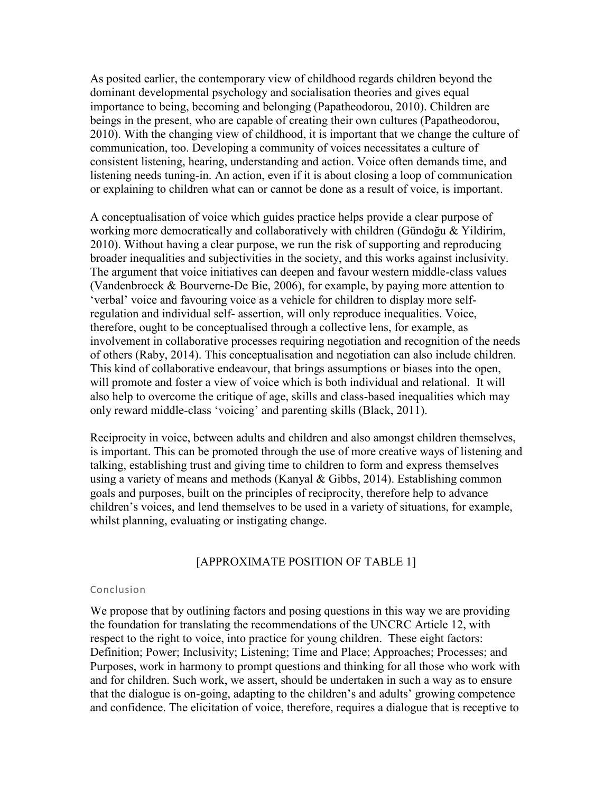As posited earlier, the contemporary view of childhood regards children beyond the dominant developmental psychology and socialisation theories and gives equal importance to being, becoming and belonging (Papatheodorou, 2010). Children are beings in the present, who are capable of creating their own cultures (Papatheodorou, 2010). With the changing view of childhood, it is important that we change the culture of communication, too. Developing a community of voices necessitates a culture of consistent listening, hearing, understanding and action. Voice often demands time, and listening needs tuning-in. An action, even if it is about closing a loop of communication or explaining to children what can or cannot be done as a result of voice, is important.

A conceptualisation of voice which guides practice helps provide a clear purpose of working more democratically and collaboratively with children (Gündoğu & Yildirim, 2010). Without having a clear purpose, we run the risk of supporting and reproducing broader inequalities and subjectivities in the society, and this works against inclusivity. The argument that voice initiatives can deepen and favour western middle-class values (Vandenbroeck & Bourverne-De Bie, 2006), for example, by paying more attention to 'verbal' voice and favouring voice as a vehicle for children to display more selfregulation and individual self- assertion, will only reproduce inequalities. Voice, therefore, ought to be conceptualised through a collective lens, for example, as involvement in collaborative processes requiring negotiation and recognition of the needs of others (Raby, 2014). This conceptualisation and negotiation can also include children. This kind of collaborative endeavour, that brings assumptions or biases into the open, will promote and foster a view of voice which is both individual and relational. It will also help to overcome the critique of age, skills and class-based inequalities which may only reward middle-class 'voicing' and parenting skills (Black, 2011).

Reciprocity in voice, between adults and children and also amongst children themselves, is important. This can be promoted through the use of more creative ways of listening and talking, establishing trust and giving time to children to form and express themselves using a variety of means and methods (Kanyal  $\&$  Gibbs, 2014). Establishing common goals and purposes, built on the principles of reciprocity, therefore help to advance children's voices, and lend themselves to be used in a variety of situations, for example, whilst planning, evaluating or instigating change.

#### [APPROXIMATE POSITION OF TABLE 1]

#### Conclusion

We propose that by outlining factors and posing questions in this way we are providing the foundation for translating the recommendations of the UNCRC Article 12, with respect to the right to voice, into practice for young children. These eight factors: Definition; Power; Inclusivity; Listening; Time and Place; Approaches; Processes; and Purposes, work in harmony to prompt questions and thinking for all those who work with and for children. Such work, we assert, should be undertaken in such a way as to ensure that the dialogue is on-going, adapting to the children's and adults' growing competence and confidence. The elicitation of voice, therefore, requires a dialogue that is receptive to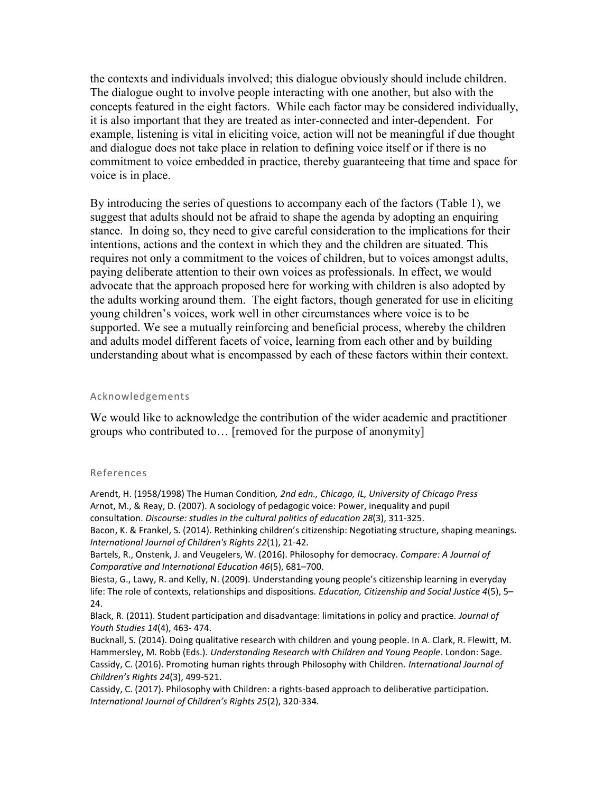the contexts and individuals involved; this dialogue obviously should include children. The dialogue ought to involve people interacting with one another, but also with the concepts featured in the eight factors. While each factor may be considered individually, it is also important that they are treated as inter-connected and inter-dependent. For example, listening is vital in eliciting voice, action will not be meaningful if due thought and dialogue does not take place in relation to defining voice itself or if there is no commitment to voice embedded in practice, thereby guaranteeing that time and space for voice is in place.

By introducing the series of questions to accompany each of the factors (Table 1), we suggest that adults should not be afraid to shape the agenda by adopting an enquiring stance. In doing so, they need to give careful consideration to the implications for their intentions, actions and the context in which they and the children are situated. This requires not only a commitment to the voices of children, but to voices amongst adults, paying deliberate attention to their own voices as professionals. In effect, we would advocate that the approach proposed here for working with children is also adopted by the adults working around them. The eight factors, though generated for use in eliciting young children's voices, work well in other circumstances where voice is to be supported. We see a mutually reinforcing and beneficial process, whereby the children and adults model different facets of voice, learning from each other and by building understanding about what is encompassed by each of these factors within their context.

#### Acknowledgements

We would like to acknowledge the contribution of the wider academic and practitioner groups who contributed to… [removed for the purpose of anonymity]

#### References

Arendt, H. (1958/1998) The Human Condition*, 2nd edn., Chicago, IL, University of Chicago Press* Arnot, M., & Reay, D. (2007). A sociology of pedagogic voice: Power, inequality and pupil consultation. *Discourse: studies in the cultural politics of education 28*(3), 311-325. Bacon, K. & Frankel, S. (2014). Rethinking children's citizenship: Negotiating structure, shaping meanings. *International Journal of Children's Rights 22*(1), 21-42.

Bartels, R., Onstenk, J. and Veugelers, W. (2016). Philosophy for democracy. *Compare: A Journal of Comparative and International Education 46*(5), 681–700.

Biesta, G., Lawy, R. and Kelly, N. (2009). Understanding young people's citizenship learning in everyday life: The role of contexts, relationships and dispositions. *Education, Citizenship and Social Justice 4*(5), 5– 24.

Black, R. (2011). Student participation and disadvantage: limitations in policy and practice. *Journal of Youth Studies 14*(4), 463- 474.

Bucknall, S. (2014). Doing qualitative research with children and young people. In A. Clark, R. Flewitt, M. Hammersley, M. Robb (Eds.). *Understanding Research with Children and Young People*. London: Sage. Cassidy, C. (2016). Promoting human rights through Philosophy with Children. *International Journal of Children's Rights 24*(3), 499-521.

Cassidy, C. (2017). Philosophy with Children: a rights-based approach to deliberative participation. *International Journal of Children's Rights 25*(2), 320-334*.*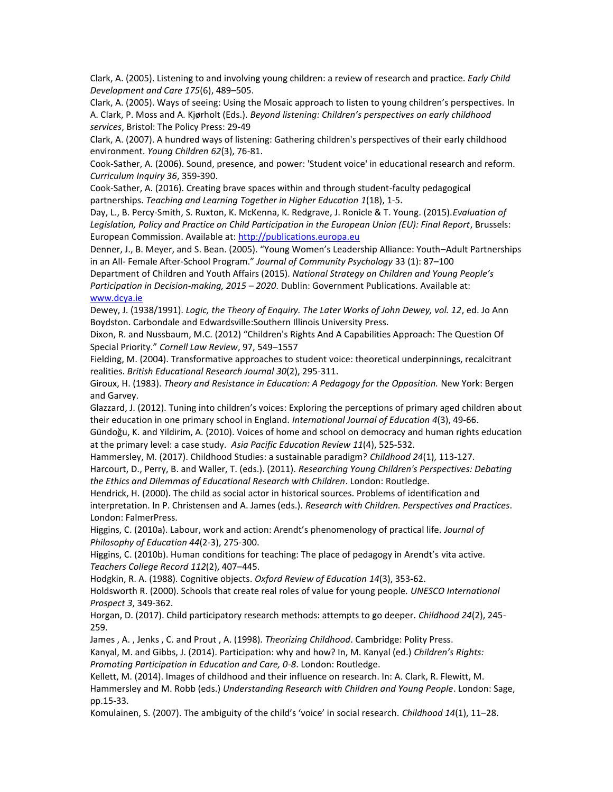Clark, A. (2005). Listening to and involving young children: a review of research and practice. *Early Child Development and Care 175*(6), 489–505.

Clark, A. (2005). Ways of seeing: Using the Mosaic approach to listen to young children's perspectives. In A. Clark, P. Moss and A. Kjørholt (Eds.). *Beyond listening: Children's perspectives on early childhood services*, Bristol: The Policy Press: 29-49

Clark, A. (2007). A hundred ways of listening: Gathering children's perspectives of their early childhood environment. *Young Children 62*(3), 76-81.

Cook-Sather, A. (2006). Sound, presence, and power: 'Student voice' in educational research and reform. *Curriculum Inquiry 36*, 359-390.

Cook-Sather, A. (2016). Creating brave spaces within and through student-faculty pedagogical partnerships. *Teaching and Learning Together in Higher Education 1*(18), 1-5.

Day, L., B. Percy-Smith, S. Ruxton, K. McKenna, K. Redgrave, J. Ronicle & T. Young. (2015).*Evaluation of Legislation, Policy and Practice on Child Participation in the European Union (EU): Final Report*, Brussels: European Commission. Available at: [http://publications.europa.eu](http://publications.europa.eu/) 

Denner, J., B. Meyer, and S. Bean. (2005). "Young Women's Leadership Alliance: Youth–Adult Partnerships in an All- Female After-School Program." *Journal of Community Psychology* 33 (1): 87–100

Department of Children and Youth Affairs (2015). *National Strategy on Children and Young People's Participation in Decision-making, 2015 – 2020*. Dublin: Government Publications. Available at: [www.dcya.ie](http://www.dcya.ie/)

Dewey, J. (1938/1991). *Logic, the Theory of Enquiry. The Later Works of John Dewey, vol. 12*, ed. Jo Ann Boydston. Carbondale and Edwardsville:Southern Illinois University Press.

Dixon, R. and Nussbaum, M.C. (2012) "Children's Rights And A Capabilities Approach: The Question Of Special Priority." *Cornell Law Review*, 97, 549–1557

Fielding, M. (2004). Transformative approaches to student voice: theoretical underpinnings, recalcitrant realities. *British Educational Research Journal 30*(2), 295-311.

Giroux, H. (1983). *Theory and Resistance in Education: A Pedagogy for the Opposition.* New York: Bergen and Garvey.

Glazzard, J. (2012). Tuning into children's voices: Exploring the perceptions of primary aged children about their education in one primary school in England. *International Journal of Education 4*(3), 49-66.

Gündoğu, K. and Yildirim, A. (2010). Voices of home and school on democracy and human rights education at the primary level: a case study. *Asia Pacific Education Review 11*(4), 525-532.

Hammersley, M. (2017). Childhood Studies: a sustainable paradigm? *Childhood 24*(1), 113-127.

Harcourt, D., Perry, B. and Waller, T. (eds.). (2011). *Researching Young Children's Perspectives: Debating the Ethics and Dilemmas of Educational Research with Children*. London: Routledge.

Hendrick, H. (2000). The child as social actor in historical sources. Problems of identification and interpretation. In P. Christensen and A. James (eds.). *Research with Children. Perspectives and Practices*. London: FalmerPress.

Higgins, C. (2010a). Labour, work and action: Arendt's phenomenology of practical life. *Journal of Philosophy of Education 44*(2-3), 275-300.

Higgins, C. (2010b). Human conditions for teaching: The place of pedagogy in Arendt's vita active. *Teachers College Record 112*(2), 407–445.

Hodgkin, R. A. (1988). Cognitive objects. *Oxford Review of Education 14*(3), 353-62.

Holdsworth R. (2000). Schools that create real roles of value for young people. *UNESCO International Prospect 3*, 349-362.

Horgan, D. (2017). Child participatory research methods: attempts to go deeper. *Childhood 24*(2), 245- 259.

James , A. , Jenks , C. and Prout , A. (1998). *Theorizing Childhood*. Cambridge: Polity Press.

Kanyal, M. and Gibbs, J. (2014). Participation: why and how? In, M. Kanyal (ed.) *Children's Rights: Promoting Participation in Education and Care, 0-8*. London: Routledge.

Kellett, M. (2014). Images of childhood and their influence on research. In: A. Clark, R. Flewitt, M. Hammersley and M. Robb (eds.) *Understanding Research with Children and Young People*. London: Sage, pp.15-33.

Komulainen, S. (2007). The ambiguity of the child's 'voice' in social research. *Childhood 14*(1), 11–28.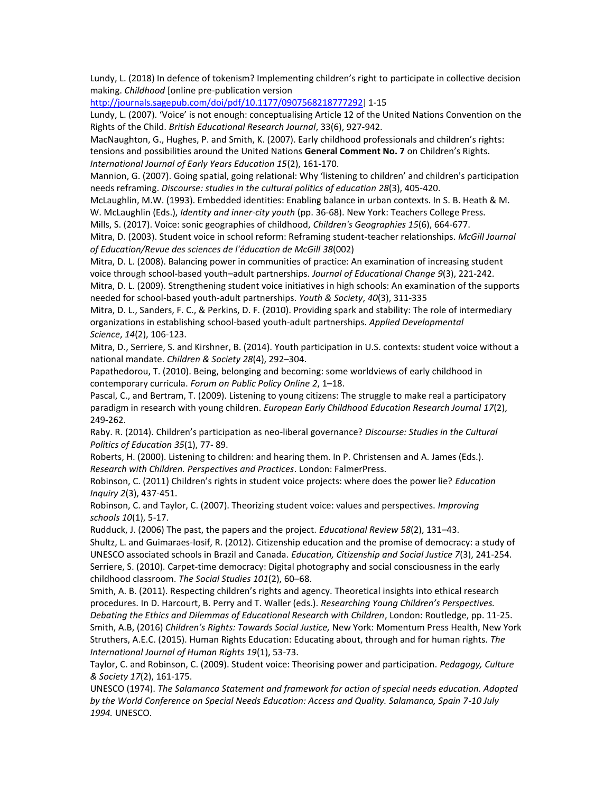Lundy, L. (2018) In defence of tokenism? Implementing children's right to participate in collective decision making. *Childhood* [online pre-publication version

[http://journals.sagepub.com/doi/pdf/10.1177/0907568218777292\]](http://journals.sagepub.com/doi/pdf/10.1177/0907568218777292) 1-15

Lundy, L. (2007). 'Voice' is not enough: conceptualising Article 12 of the United Nations Convention on the Rights of the Child. *British Educational Research Journal*, 33(6), 927-942.

MacNaughton, G., Hughes, P. and Smith, K. (2007). Early childhood professionals and children's rights: tensions and possibilities around the United Nations **General Comment No. 7** on Children's Rights. *International Journal of Early Years Education 15*(2), 161-170.

Mannion, G. (2007). Going spatial, going relational: Why 'listening to children' and children's participation needs reframing. *Discourse: studies in the cultural politics of education 28*(3), 405-420.

McLaughlin, M.W. (1993). Embedded identities: Enabling balance in urban contexts. In S. B. Heath & M. W. McLaughlin (Eds.), *Identity and inner-city youth* (pp. 36-68). New York: Teachers College Press.

Mills, S. (2017). Voice: sonic geographies of childhood, *Children's Geographies 15*(6), 664-677.

Mitra, D. (2003). Student voice in school reform: Reframing student-teacher relationships. *McGill Journal of Education/Revue des sciences de l'éducation de McGill 38*(002)

Mitra, D. L. (2008). Balancing power in communities of practice: An examination of increasing student voice through school-based youth–adult partnerships. *Journal of Educational Change 9*(3), 221-242.

Mitra, D. L. (2009). Strengthening student voice initiatives in high schools: An examination of the supports needed for school-based youth-adult partnerships. *Youth & Society*, *40*(3), 311-335

Mitra, D. L., Sanders, F. C., & Perkins, D. F. (2010). Providing spark and stability: The role of intermediary organizations in establishing school-based youth-adult partnerships. *Applied Developmental Science*, *14*(2), 106-123.

Mitra, D., Serriere, S. and Kirshner, B. (2014). Youth participation in U.S. contexts: student voice without a national mandate. *Children & Society 28*(4), 292–304.

Papathedorou, T. (2010). Being, belonging and becoming: some worldviews of early childhood in contemporary curricula. *Forum on Public Policy Online 2*, 1–18.

Pascal, C., and Bertram, T. (2009). Listening to young citizens: The struggle to make real a participatory paradigm in research with young children. *European Early Childhood Education Research Journal 17*(2), 249-262.

Raby. R. (2014). Children's participation as neo-liberal governance? *Discourse: Studies in the Cultural Politics of Education 35*(1), 77- 89.

Roberts, H. (2000). Listening to children: and hearing them. In P. Christensen and A. James (Eds.). *Research with Children. Perspectives and Practices*. London: FalmerPress.

Robinson, C. (2011) Children's rights in student voice projects: where does the power lie? *Education Inquiry 2*(3), 437-451.

Robinson, C. and Taylor, C. (2007). Theorizing student voice: values and perspectives. *Improving schools 10*(1), 5-17.

Rudduck, J. (2006) The past, the papers and the project. *Educational Review 58*(2), 131–43. Shultz, L. and Guimaraes-Iosif, R. (2012). Citizenship education and the promise of democracy: a study of UNESCO associated schools in Brazil and Canada. *Education, Citizenship and Social Justice 7*(3), 241-254. Serriere, S. (2010). Carpet-time democracy: Digital photography and social consciousness in the early childhood classroom. *The Social Studies 101*(2), 60–68.

Smith, A. B. (2011). Respecting children's rights and agency. Theoretical insights into ethical research procedures. In D. Harcourt, B. Perry and T. Waller (eds.). *Researching Young Children's Perspectives. Debating the Ethics and Dilemmas of Educational Research with Children*, London: Routledge, pp. 11-25. Smith, A.B, (2016) *Children's Rights: Towards Social Justice,* New York: Momentum Press Health, New York Struthers, A.E.C. (2015). Human Rights Education: Educating about, through and for human rights. *The International Journal of Human Rights 19*(1), 53-73.

Taylor, C. and Robinson, C. (2009). Student voice: Theorising power and participation. *Pedagogy, Culture & Society 17*(2), 161-175.

UNESCO (1974). *The Salamanca Statement and framework for action of special needs education. Adopted by the World Conference on Special Needs Education: Access and Quality. Salamanca, Spain 7-10 July 1994.* UNESCO.